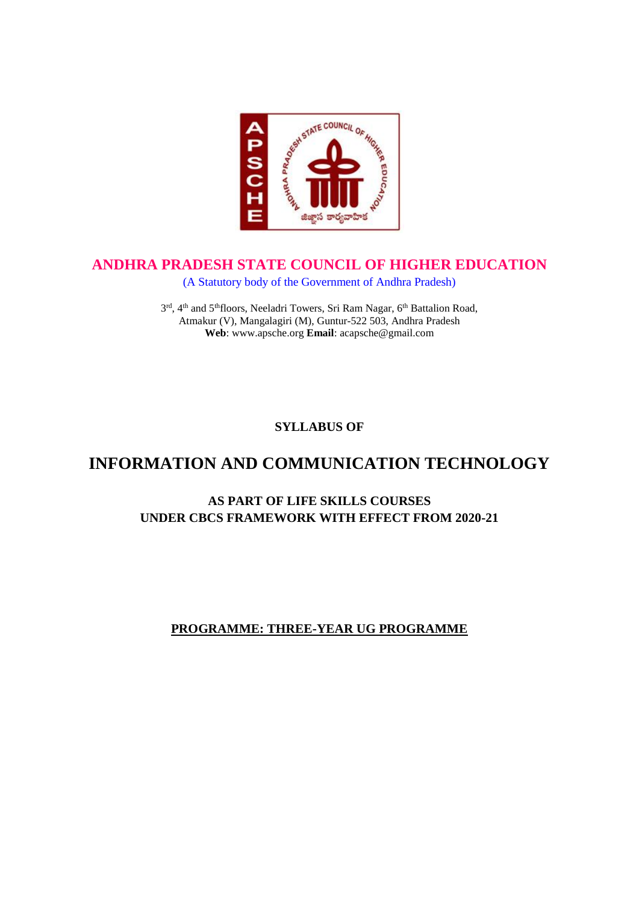

# **ANDHRA PRADESH STATE COUNCIL OF HIGHER EDUCATION**

(A Statutory body of the Government of Andhra Pradesh)

3<sup>rd</sup>, 4<sup>th</sup> and 5<sup>th</sup>floors, Neeladri Towers, Sri Ram Nagar, 6<sup>th</sup> Battalion Road, Atmakur (V), Mangalagiri (M), Guntur-522 503, Andhra Pradesh **Web**: www.apsche.org **Email**: acapsche@gmail.com

**SYLLABUS OF**

# **INFORMATION AND COMMUNICATION TECHNOLOGY**

# **AS PART OF LIFE SKILLS COURSES UNDER CBCS FRAMEWORK WITH EFFECT FROM 2020-21**

# **PROGRAMME: THREE-YEAR UG PROGRAMME**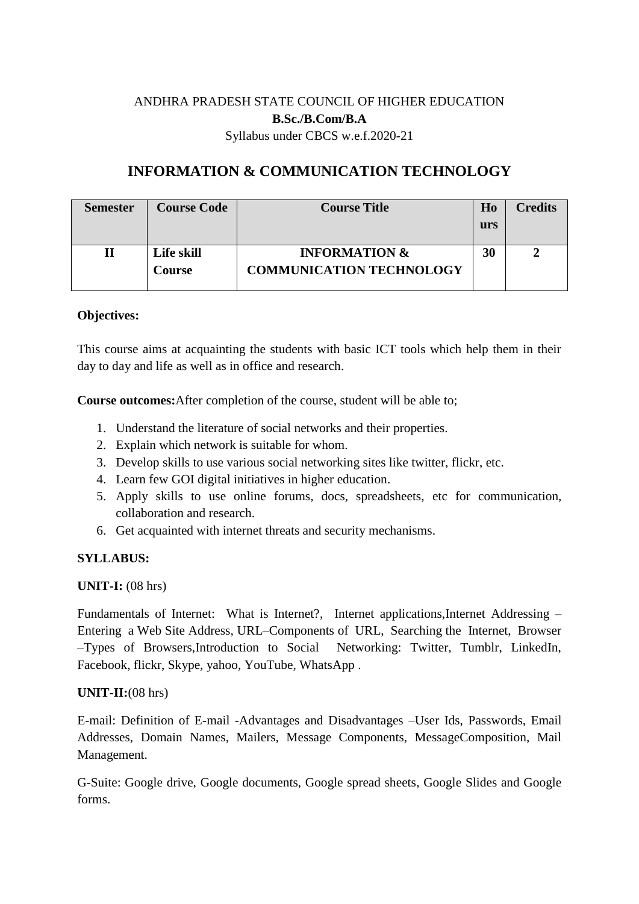# ANDHRA PRADESH STATE COUNCIL OF HIGHER EDUCATION **B.Sc./B.Com/B.A** Syllabus under CBCS w.e.f.2020-21

# **INFORMATION & COMMUNICATION TECHNOLOGY**

| <b>Semester</b> | <b>Course Code</b>   | <b>Course Title</b>                                         | H <sub>0</sub><br>urs | <b>Credits</b> |
|-----------------|----------------------|-------------------------------------------------------------|-----------------------|----------------|
|                 | Life skill<br>Course | <b>INFORMATION &amp;</b><br><b>COMMUNICATION TECHNOLOGY</b> | 30                    |                |

#### **Objectives:**

This course aims at acquainting the students with basic ICT tools which help them in their day to day and life as well as in office and research.

**Course outcomes:**After completion of the course, student will be able to;

- 1. Understand the literature of social networks and their properties.
- 2. Explain which network is suitable for whom.
- 3. Develop skills to use various social networking sites like twitter, flickr, etc.
- 4. Learn few GOI digital initiatives in higher education.
- 5. Apply skills to use online forums, docs, spreadsheets, etc for communication, collaboration and research.
- 6. Get acquainted with internet threats and security mechanisms.

#### **SYLLABUS:**

**UNIT-I:** (08 hrs)

Fundamentals of Internet: What is Internet?, Internet applications,Internet Addressing – Entering a Web Site Address, URL–Components of URL, Searching the Internet, Browser –Types of Browsers,Introduction to Social Networking: Twitter, Tumblr, LinkedIn, Facebook, flickr, Skype, yahoo, YouTube, WhatsApp .

#### **UNIT-II:**(08 hrs)

E-mail: Definition of E-mail -Advantages and Disadvantages –User Ids, Passwords, Email Addresses, Domain Names, Mailers, Message Components, MessageComposition, Mail Management.

G-Suite: Google drive, Google documents, Google spread sheets, Google Slides and Google forms.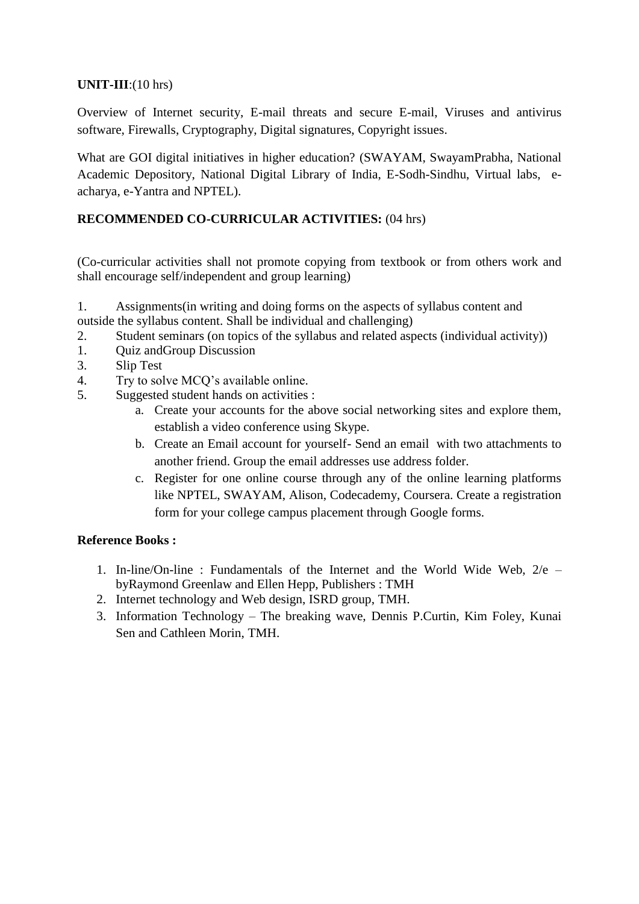### **UNIT-III**:(10 hrs)

Overview of Internet security, E-mail threats and secure E-mail, Viruses and antivirus software, Firewalls, Cryptography, Digital signatures, Copyright issues.

What are GOI digital initiatives in higher education? (SWAYAM, SwayamPrabha, National Academic Depository, National Digital Library of India, E-Sodh-Sindhu, Virtual labs, eacharya, e-Yantra and NPTEL).

# **RECOMMENDED CO-CURRICULAR ACTIVITIES:** (04 hrs)

(Co-curricular activities shall not promote copying from textbook or from others work and shall encourage self/independent and group learning)

1. Assignments(in writing and doing forms on the aspects of syllabus content and outside the syllabus content. Shall be individual and challenging)

- 2. Student seminars (on topics of the syllabus and related aspects (individual activity))
- 1. Quiz andGroup Discussion
- 3. Slip Test
- 4. Try to solve MCQ's available online.
- 5. Suggested student hands on activities :
	- a. Create your accounts for the above social networking sites and explore them, establish a video conference using Skype.
	- b. Create an Email account for yourself- Send an email with two attachments to another friend. Group the email addresses use address folder.
	- c. Register for one online course through any of the online learning platforms like NPTEL, SWAYAM, Alison, Codecademy, Coursera. Create a registration form for your college campus placement through Google forms.

#### **Reference Books :**

- 1. In-line/On-line : Fundamentals of the Internet and the World Wide Web,  $2/e$  byRaymond Greenlaw and Ellen Hepp, Publishers : TMH
- 2. Internet technology and Web design, ISRD group, TMH.
- 3. Information Technology The breaking wave, Dennis P.Curtin, Kim Foley, Kunai Sen and Cathleen Morin, TMH.